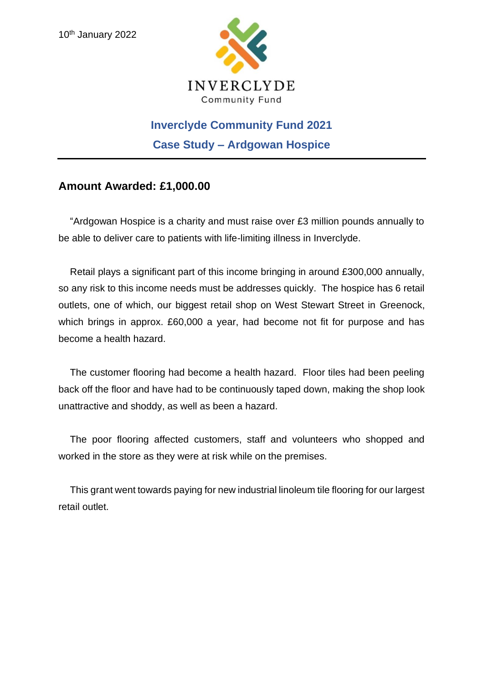

# **Inverclyde Community Fund 2021 Case Study – Ardgowan Hospice**

## **Amount Awarded: £1,000.00**

"Ardgowan Hospice is a charity and must raise over £3 million pounds annually to be able to deliver care to patients with life-limiting illness in Inverclyde.

Retail plays a significant part of this income bringing in around £300,000 annually, so any risk to this income needs must be addresses quickly. The hospice has 6 retail outlets, one of which, our biggest retail shop on West Stewart Street in Greenock, which brings in approx. £60,000 a year, had become not fit for purpose and has become a health hazard.

The customer flooring had become a health hazard. Floor tiles had been peeling back off the floor and have had to be continuously taped down, making the shop look unattractive and shoddy, as well as been a hazard.

The poor flooring affected customers, staff and volunteers who shopped and worked in the store as they were at risk while on the premises.

This grant went towards paying for new industrial linoleum tile flooring for our largest retail outlet.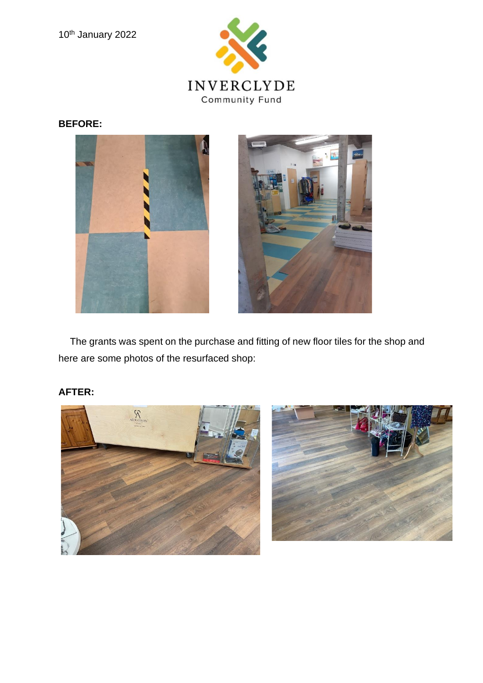

#### **BEFORE:**



The grants was spent on the purchase and fitting of new floor tiles for the shop and here are some photos of the resurfaced shop:

### **AFTER:**